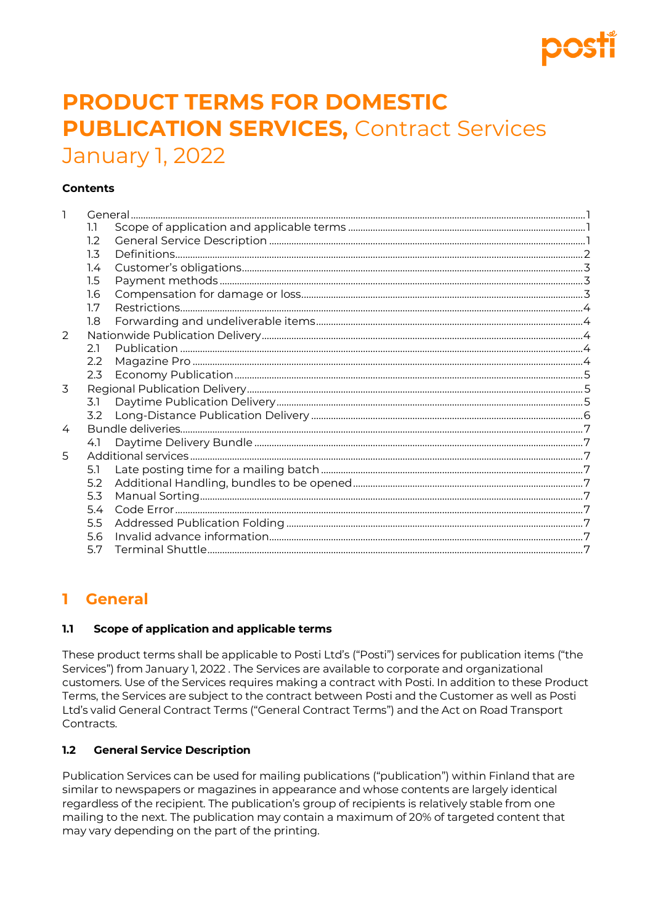# **PRODUCT TERMS FOR DOMESTIC PUBLICATION SERVICES, Contract Services** January 1, 2022

#### **Contents**

| 1 |         |  |  |
|---|---------|--|--|
|   | 1.1     |  |  |
|   | 1.2     |  |  |
|   | 1.3     |  |  |
|   | 1.4     |  |  |
|   | $1.5\,$ |  |  |
|   | 1.6     |  |  |
|   | 1.7     |  |  |
|   | 1.8     |  |  |
| 2 |         |  |  |
|   | 2.1     |  |  |
|   | 2.2     |  |  |
|   | 2.3     |  |  |
| 3 |         |  |  |
|   | 3.1     |  |  |
|   | 3.2     |  |  |
| 4 |         |  |  |
|   | 4.1     |  |  |
| 5 |         |  |  |
|   | 5.1     |  |  |
|   | 5.2     |  |  |
|   | 5.3     |  |  |
|   | 5.4     |  |  |
|   | 5.5     |  |  |
|   | 5.6     |  |  |
|   | 5.7     |  |  |

# <span id="page-0-0"></span>1 General

#### <span id="page-0-1"></span> $1.1$ Scope of application and applicable terms

These product terms shall be applicable to Posti Ltd's ("Posti") services for publication items ("the Services") from January 1, 2022. The Services are available to corporate and organizational customers. Use of the Services requires making a contract with Posti. In addition to these Product Terms, the Services are subject to the contract between Posti and the Customer as well as Posti Ltd's valid General Contract Terms ("General Contract Terms") and the Act on Road Transport Contracts.

#### <span id="page-0-2"></span> $1.2$ **General Service Description**

Publication Services can be used for mailing publications ("publication") within Finland that are similar to newspapers or magazines in appearance and whose contents are largely identical regardless of the recipient. The publication's group of recipients is relatively stable from one mailing to the next. The publication may contain a maximum of 20% of targeted content that may vary depending on the part of the printing.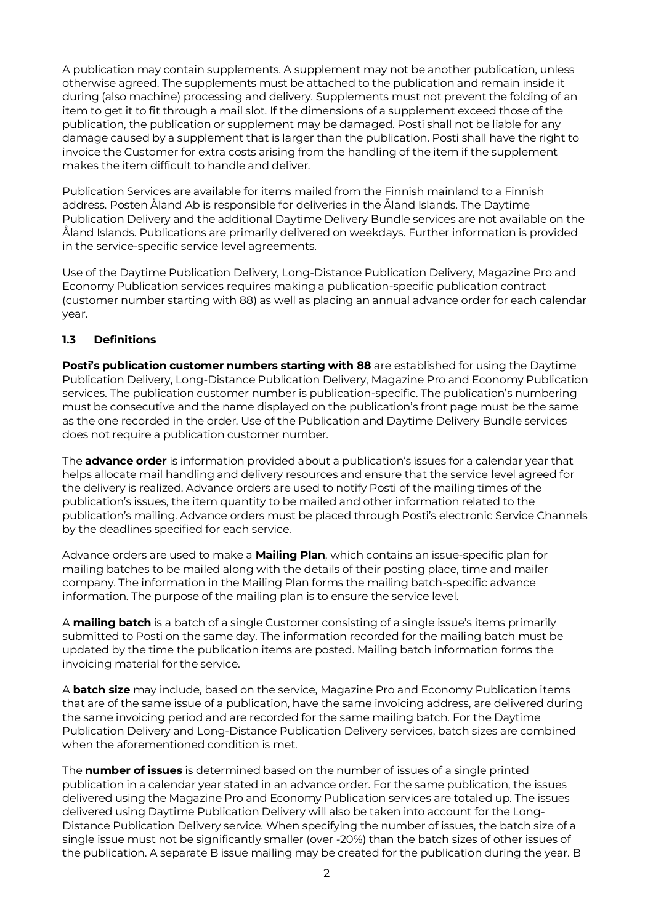A publication may contain supplements. A supplement may not be another publication, unless otherwise agreed. The supplements must be attached to the publication and remain inside it during (also machine) processing and delivery. Supplements must not prevent the folding of an item to get it to fit through a mail slot. If the dimensions of a supplement exceed those of the publication, the publication or supplement may be damaged. Posti shall not be liable for any damage caused by a supplement that is larger than the publication. Posti shall have the right to invoice the Customer for extra costs arising from the handling of the item if the supplement makes the item difficult to handle and deliver.

Publication Services are available for items mailed from the Finnish mainland to a Finnish address. Posten Åland Ab is responsible for deliveries in the Åland Islands. The Daytime Publication Delivery and the additional Daytime Delivery Bundle services are not available on the Åland Islands. Publications are primarily delivered on weekdays. Further information is provided in the service-specific service level agreements.

Use of the Daytime Publication Delivery, Long-Distance Publication Delivery, Magazine Pro and Economy Publication services requires making a publication-specific publication contract (customer number starting with 88) as well as placing an annual advance order for each calendar year.

### <span id="page-1-0"></span>**1.3 Definitions**

**Posti's publication customer numbers starting with 88** are established for using the Daytime Publication Delivery, Long-Distance Publication Delivery, Magazine Pro and Economy Publication services. The publication customer number is publication-specific. The publication's numbering must be consecutive and the name displayed on the publication's front page must be the same as the one recorded in the order. Use of the Publication and Daytime Delivery Bundle services does not require a publication customer number.

The **advance order** is information provided about a publication's issues for a calendar year that helps allocate mail handling and delivery resources and ensure that the service level agreed for the delivery is realized. Advance orders are used to notify Posti of the mailing times of the publication's issues, the item quantity to be mailed and other information related to the publication's mailing. Advance orders must be placed through Posti's electronic Service Channels by the deadlines specified for each service.

Advance orders are used to make a **Mailing Plan**, which contains an issue-specific plan for mailing batches to be mailed along with the details of their posting place, time and mailer company. The information in the Mailing Plan forms the mailing batch-specific advance information. The purpose of the mailing plan is to ensure the service level.

A **mailing batch** is a batch of a single Customer consisting of a single issue's items primarily submitted to Posti on the same day. The information recorded for the mailing batch must be updated by the time the publication items are posted. Mailing batch information forms the invoicing material for the service.

A **batch size** may include, based on the service, Magazine Pro and Economy Publication items that are of the same issue of a publication, have the same invoicing address, are delivered during the same invoicing period and are recorded for the same mailing batch. For the Daytime Publication Delivery and Long-Distance Publication Delivery services, batch sizes are combined when the aforementioned condition is met.

The **number of issues** is determined based on the number of issues of a single printed publication in a calendar year stated in an advance order. For the same publication, the issues delivered using the Magazine Pro and Economy Publication services are totaled up. The issues delivered using Daytime Publication Delivery will also be taken into account for the Long-Distance Publication Delivery service. When specifying the number of issues, the batch size of a single issue must not be significantly smaller (over -20%) than the batch sizes of other issues of the publication. A separate B issue mailing may be created for the publication during the year. B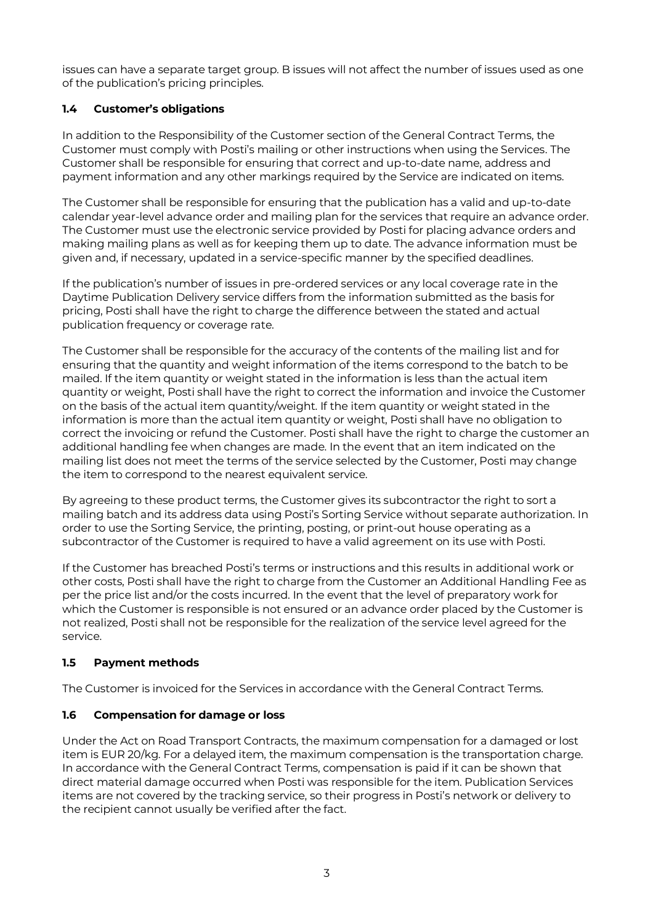issues can have a separate target group. B issues will not affect the number of issues used as one of the publication's pricing principles.

### <span id="page-2-0"></span>**1.4 Customer's obligations**

In addition to the Responsibility of the Customer section of the General Contract Terms, the Customer must comply with Posti's mailing or other instructions when using the Services. The Customer shall be responsible for ensuring that correct and up-to-date name, address and payment information and any other markings required by the Service are indicated on items.

The Customer shall be responsible for ensuring that the publication has a valid and up-to-date calendar year-level advance order and mailing plan for the services that require an advance order. The Customer must use the electronic service provided by Posti for placing advance orders and making mailing plans as well as for keeping them up to date. The advance information must be given and, if necessary, updated in a service-specific manner by the specified deadlines.

If the publication's number of issues in pre-ordered services or any local coverage rate in the Daytime Publication Delivery service differs from the information submitted as the basis for pricing, Posti shall have the right to charge the difference between the stated and actual publication frequency or coverage rate.

The Customer shall be responsible for the accuracy of the contents of the mailing list and for ensuring that the quantity and weight information of the items correspond to the batch to be mailed. If the item quantity or weight stated in the information is less than the actual item quantity or weight, Posti shall have the right to correct the information and invoice the Customer on the basis of the actual item quantity/weight. If the item quantity or weight stated in the information is more than the actual item quantity or weight, Posti shall have no obligation to correct the invoicing or refund the Customer. Posti shall have the right to charge the customer an additional handling fee when changes are made. In the event that an item indicated on the mailing list does not meet the terms of the service selected by the Customer, Posti may change the item to correspond to the nearest equivalent service.

By agreeing to these product terms, the Customer gives its subcontractor the right to sort a mailing batch and its address data using Posti's Sorting Service without separate authorization. In order to use the Sorting Service, the printing, posting, or print-out house operating as a subcontractor of the Customer is required to have a valid agreement on its use with Posti.

If the Customer has breached Posti's terms or instructions and this results in additional work or other costs, Posti shall have the right to charge from the Customer an Additional Handling Fee as per the price list and/or the costs incurred. In the event that the level of preparatory work for which the Customer is responsible is not ensured or an advance order placed by the Customer is not realized, Posti shall not be responsible for the realization of the service level agreed for the service.

### <span id="page-2-1"></span>**1.5 Payment methods**

The Customer is invoiced for the Services in accordance with the General Contract Terms.

#### <span id="page-2-2"></span>**1.6 Compensation for damage or loss**

Under the Act on Road Transport Contracts, the maximum compensation for a damaged or lost item is EUR 20/kg. For a delayed item, the maximum compensation is the transportation charge. In accordance with the General Contract Terms, compensation is paid if it can be shown that direct material damage occurred when Posti was responsible for the item. Publication Services items are not covered by the tracking service, so their progress in Posti's network or delivery to the recipient cannot usually be verified after the fact.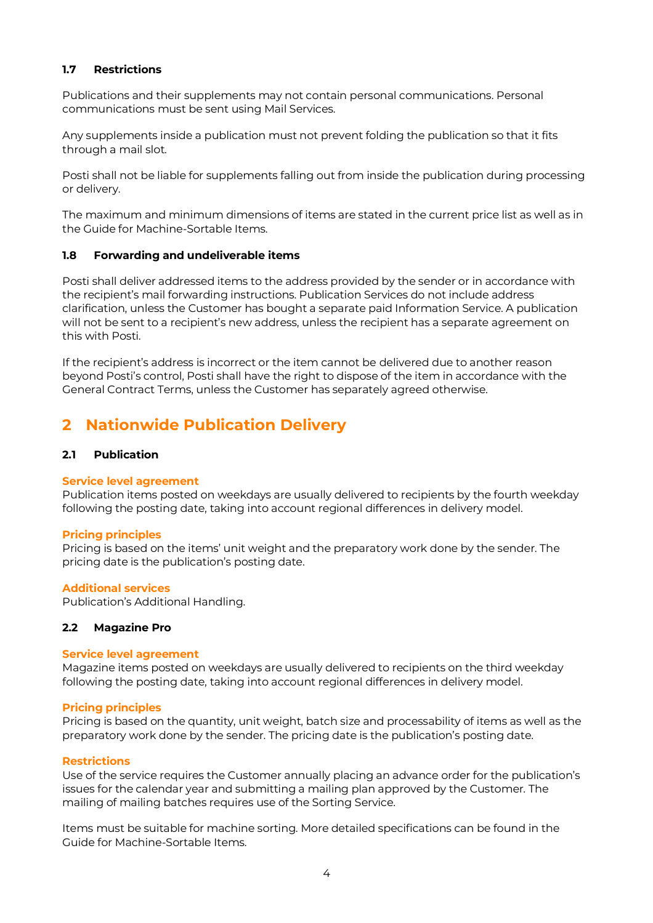#### <span id="page-3-0"></span>**1.7 Restrictions**

Publications and their supplements may not contain personal communications. Personal communications must be sent using Mail Services.

Any supplements inside a publication must not prevent folding the publication so that it fits through a mail slot.

Posti shall not be liable for supplements falling out from inside the publication during processing or delivery.

The maximum and minimum dimensions of items are stated in the current price list as well as in the Guide for Machine-Sortable Items.

#### <span id="page-3-1"></span>**1.8 Forwarding and undeliverable items**

Posti shall deliver addressed items to the address provided by the sender or in accordance with the recipient's mail forwarding instructions. Publication Services do not include address clarification, unless the Customer has bought a separate paid Information Service. A publication will not be sent to a recipient's new address, unless the recipient has a separate agreement on this with Posti.

If the recipient's address is incorrect or the item cannot be delivered due to another reason beyond Posti's control, Posti shall have the right to dispose of the item in accordance with the General Contract Terms, unless the Customer has separately agreed otherwise.

# <span id="page-3-2"></span>**2 Nationwide Publication Delivery**

#### <span id="page-3-3"></span>**2.1 Publication**

#### **Service level agreement**

Publication items posted on weekdays are usually delivered to recipients by the fourth weekday following the posting date, taking into account regional differences in delivery model.

#### **Pricing principles**

Pricing is based on the items' unit weight and the preparatory work done by the sender. The pricing date is the publication's posting date.

#### **Additional services**

Publication's Additional Handling.

#### <span id="page-3-4"></span>**2.2 Magazine Pro**

#### **Service level agreement**

Magazine items posted on weekdays are usually delivered to recipients on the third weekday following the posting date, taking into account regional differences in delivery model.

#### **Pricing principles**

Pricing is based on the quantity, unit weight, batch size and processability of items as well as the preparatory work done by the sender. The pricing date is the publication's posting date.

#### **Restrictions**

Use of the service requires the Customer annually placing an advance order for the publication's issues for the calendar year and submitting a mailing plan approved by the Customer. The mailing of mailing batches requires use of the Sorting Service.

Items must be suitable for machine sorting. More detailed specifications can be found in the Guide for Machine-Sortable Items.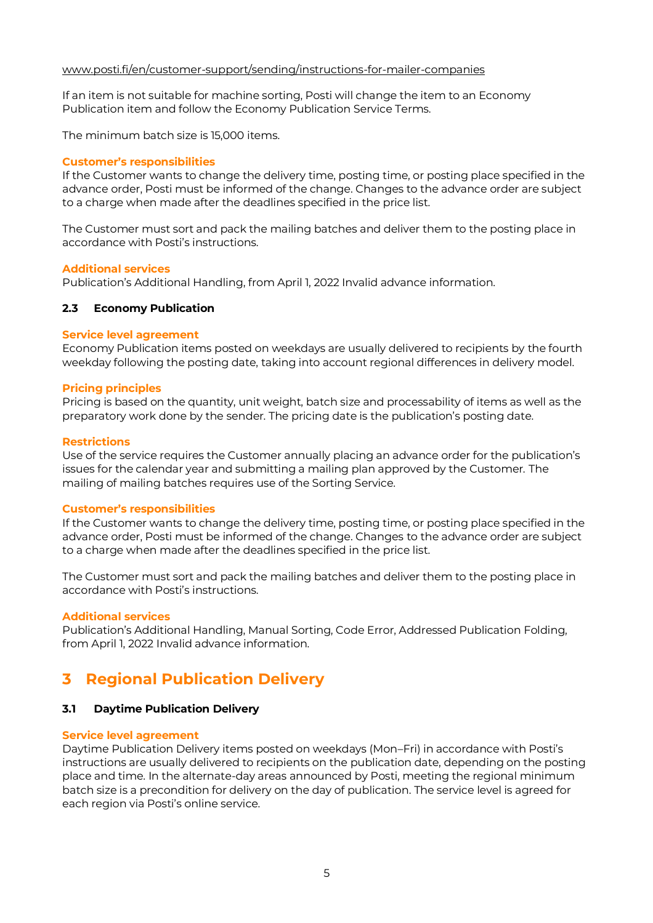#### [www.posti.fi/en/customer-support/sending/instructions-for-mailer-companies](https://www.posti.fi/en/customer-support/sending/instructions-for-mailer-companies)

If an item is not suitable for machine sorting, Posti will change the item to an Economy Publication item and follow the Economy Publication Service Terms.

The minimum batch size is 15,000 items.

#### **Customer's responsibilities**

If the Customer wants to change the delivery time, posting time, or posting place specified in the advance order, Posti must be informed of the change. Changes to the advance order are subject to a charge when made after the deadlines specified in the price list.

The Customer must sort and pack the mailing batches and deliver them to the posting place in accordance with Posti's instructions.

#### **Additional services**

Publication's Additional Handling, from April 1, 2022 Invalid advance information.

#### <span id="page-4-0"></span>**2.3 Economy Publication**

#### **Service level agreement**

Economy Publication items posted on weekdays are usually delivered to recipients by the fourth weekday following the posting date, taking into account regional differences in delivery model.

#### **Pricing principles**

Pricing is based on the quantity, unit weight, batch size and processability of items as well as the preparatory work done by the sender. The pricing date is the publication's posting date.

#### **Restrictions**

Use of the service requires the Customer annually placing an advance order for the publication's issues for the calendar year and submitting a mailing plan approved by the Customer. The mailing of mailing batches requires use of the Sorting Service.

#### **Customer's responsibilities**

If the Customer wants to change the delivery time, posting time, or posting place specified in the advance order, Posti must be informed of the change. Changes to the advance order are subject to a charge when made after the deadlines specified in the price list.

The Customer must sort and pack the mailing batches and deliver them to the posting place in accordance with Posti's instructions.

#### **Additional services**

Publication's Additional Handling, Manual Sorting, Code Error, Addressed Publication Folding, from April 1, 2022 Invalid advance information.

# <span id="page-4-1"></span>**3 Regional Publication Delivery**

#### <span id="page-4-2"></span>**3.1 Daytime Publication Delivery**

#### **Service level agreement**

Daytime Publication Delivery items posted on weekdays (Mon–Fri) in accordance with Posti's instructions are usually delivered to recipients on the publication date, depending on the posting place and time. In the alternate-day areas announced by Posti, meeting the regional minimum batch size is a precondition for delivery on the day of publication. The service level is agreed for each region via Posti's online service.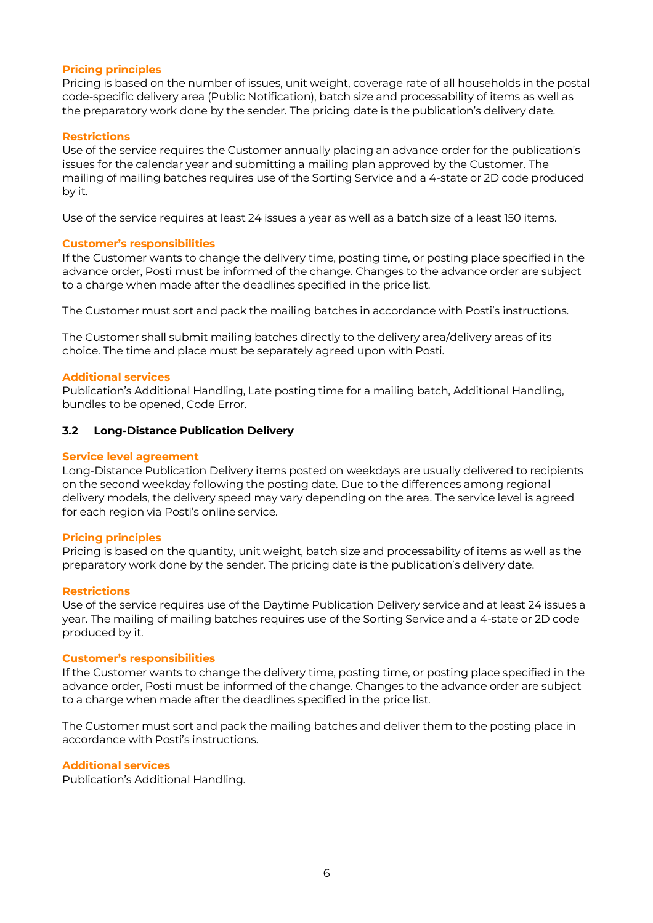#### **Pricing principles**

Pricing is based on the number of issues, unit weight, coverage rate of all households in the postal code-specific delivery area (Public Notification), batch size and processability of items as well as the preparatory work done by the sender. The pricing date is the publication's delivery date.

#### **Restrictions**

Use of the service requires the Customer annually placing an advance order for the publication's issues for the calendar year and submitting a mailing plan approved by the Customer. The mailing of mailing batches requires use of the Sorting Service and a 4-state or 2D code produced by it.

Use of the service requires at least 24 issues a year as well as a batch size of a least 150 items.

#### **Customer's responsibilities**

If the Customer wants to change the delivery time, posting time, or posting place specified in the advance order, Posti must be informed of the change. Changes to the advance order are subject to a charge when made after the deadlines specified in the price list.

The Customer must sort and pack the mailing batches in accordance with Posti's instructions.

The Customer shall submit mailing batches directly to the delivery area/delivery areas of its choice. The time and place must be separately agreed upon with Posti.

#### **Additional services**

Publication's Additional Handling, Late posting time for a mailing batch, Additional Handling, bundles to be opened, Code Error.

#### <span id="page-5-0"></span>**3.2 Long-Distance Publication Delivery**

#### **Service level agreement**

Long-Distance Publication Delivery items posted on weekdays are usually delivered to recipients on the second weekday following the posting date. Due to the differences among regional delivery models, the delivery speed may vary depending on the area. The service level is agreed for each region via Posti's online service.

#### **Pricing principles**

Pricing is based on the quantity, unit weight, batch size and processability of items as well as the preparatory work done by the sender. The pricing date is the publication's delivery date.

#### **Restrictions**

Use of the service requires use of the Daytime Publication Delivery service and at least 24 issues a year. The mailing of mailing batches requires use of the Sorting Service and a 4-state or 2D code produced by it.

#### **Customer's responsibilities**

If the Customer wants to change the delivery time, posting time, or posting place specified in the advance order, Posti must be informed of the change. Changes to the advance order are subject to a charge when made after the deadlines specified in the price list.

The Customer must sort and pack the mailing batches and deliver them to the posting place in accordance with Posti's instructions.

#### **Additional services**

Publication's Additional Handling.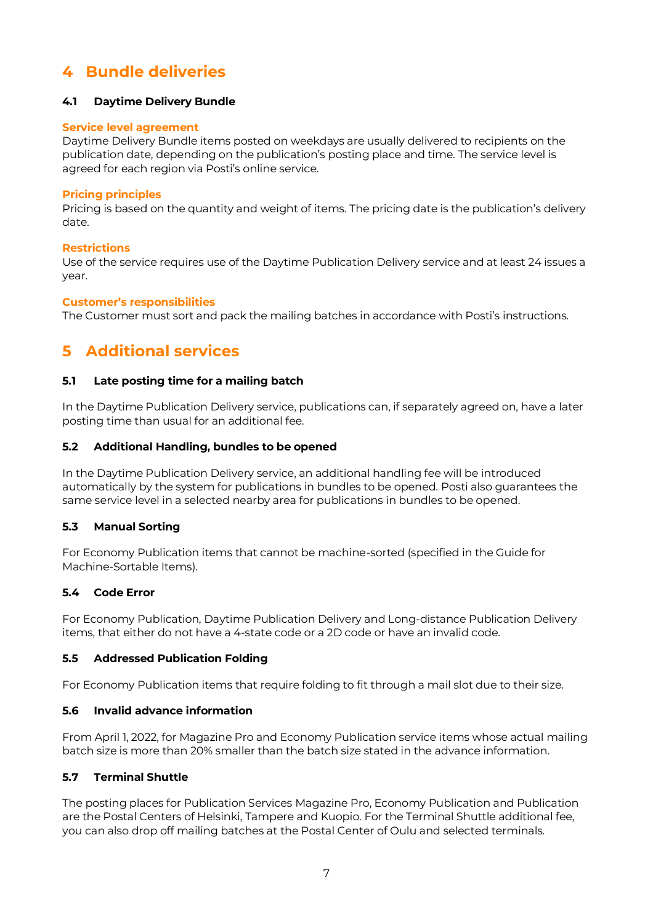# <span id="page-6-0"></span>**4 Bundle deliveries**

#### <span id="page-6-1"></span>**4.1 Daytime Delivery Bundle**

#### **Service level agreement**

Daytime Delivery Bundle items posted on weekdays are usually delivered to recipients on the publication date, depending on the publication's posting place and time. The service level is agreed for each region via Posti's online service.

#### **Pricing principles**

Pricing is based on the quantity and weight of items. The pricing date is the publication's delivery date.

#### **Restrictions**

Use of the service requires use of the Daytime Publication Delivery service and at least 24 issues a year.

#### **Customer's responsibilities**

The Customer must sort and pack the mailing batches in accordance with Posti's instructions.

# <span id="page-6-2"></span>**5 Additional services**

#### <span id="page-6-3"></span>**5.1 Late posting time for a mailing batch**

In the Daytime Publication Delivery service, publications can, if separately agreed on, have a later posting time than usual for an additional fee.

#### <span id="page-6-4"></span>**5.2 Additional Handling, bundles to be opened**

In the Daytime Publication Delivery service, an additional handling fee will be introduced automatically by the system for publications in bundles to be opened. Posti also guarantees the same service level in a selected nearby area for publications in bundles to be opened.

#### <span id="page-6-5"></span>**5.3 Manual Sorting**

For Economy Publication items that cannot be machine-sorted (specified in the Guide for Machine-Sortable Items).

#### <span id="page-6-6"></span>**5.4 Code Error**

For Economy Publication, Daytime Publication Delivery and Long-distance Publication Delivery items, that either do not have a 4-state code or a 2D code or have an invalid code.

#### <span id="page-6-7"></span>**5.5 Addressed Publication Folding**

For Economy Publication items that require folding to fit through a mail slot due to their size.

#### <span id="page-6-8"></span>**5.6 Invalid advance information**

From April 1, 2022, for Magazine Pro and Economy Publication service items whose actual mailing batch size is more than 20% smaller than the batch size stated in the advance information.

#### <span id="page-6-9"></span>**5.7 Terminal Shuttle**

The posting places for Publication Services Magazine Pro, Economy Publication and Publication are the Postal Centers of Helsinki, Tampere and Kuopio. For the Terminal Shuttle additional fee, you can also drop off mailing batches at the Postal Center of Oulu and selected terminals.